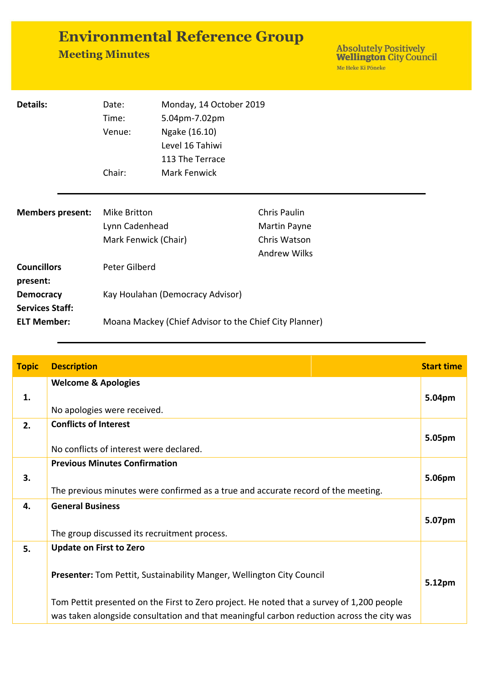| <b>Environmental Reference Group</b> |  |
|--------------------------------------|--|
| <b>Meeting Minutes</b>               |  |

| <b>Details:</b>                            | Date:<br>Time:<br>Venue:                               | Monday, 14 October 2019<br>5.04pm-7.02pm<br>Ngake (16.10)<br>Level 16 Tahiwi<br>113 The Terrace |                                                                     |
|--------------------------------------------|--------------------------------------------------------|-------------------------------------------------------------------------------------------------|---------------------------------------------------------------------|
|                                            | Chair:                                                 | <b>Mark Fenwick</b>                                                                             |                                                                     |
| <b>Members present:</b>                    | Mike Britton<br>Lynn Cadenhead<br>Mark Fenwick (Chair) |                                                                                                 | Chris Paulin<br>Martin Payne<br>Chris Watson<br><b>Andrew Wilks</b> |
| <b>Councillors</b><br>present:             | Peter Gilberd                                          |                                                                                                 |                                                                     |
| <b>Democracy</b><br><b>Services Staff:</b> |                                                        | Kay Houlahan (Democracy Advisor)                                                                |                                                                     |
| <b>ELT Member:</b>                         | Moana Mackey (Chief Advisor to the Chief City Planner) |                                                                                                 |                                                                     |

| <b>Topic</b> | <b>Description</b>                                                                                                                                                                                                                                                                                | <b>Start time</b> |
|--------------|---------------------------------------------------------------------------------------------------------------------------------------------------------------------------------------------------------------------------------------------------------------------------------------------------|-------------------|
| 1.           | <b>Welcome &amp; Apologies</b><br>No apologies were received.                                                                                                                                                                                                                                     | 5.04pm            |
| 2.           | <b>Conflicts of Interest</b><br>No conflicts of interest were declared.                                                                                                                                                                                                                           | 5.05pm            |
| 3.           | <b>Previous Minutes Confirmation</b><br>The previous minutes were confirmed as a true and accurate record of the meeting.                                                                                                                                                                         | 5.06pm            |
| 4.           | <b>General Business</b><br>The group discussed its recruitment process.                                                                                                                                                                                                                           | 5.07pm            |
| 5.           | <b>Update on First to Zero</b><br>Presenter: Tom Pettit, Sustainability Manger, Wellington City Council<br>Tom Pettit presented on the First to Zero project. He noted that a survey of 1,200 people<br>was taken alongside consultation and that meaningful carbon reduction across the city was | 5.12pm            |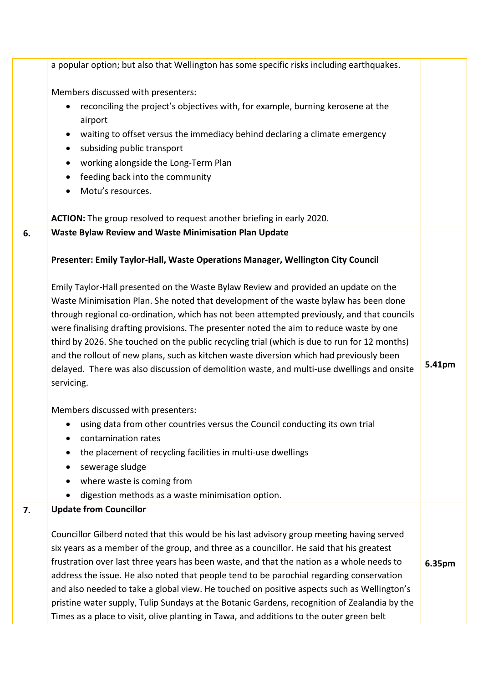|    | a popular option; but also that Wellington has some specific risks including earthquakes.                                                                                                                                                                                                                                                                                                                                                                                                                                                                                                                                                                                                                                                                                                                                                                                                                                                                                                                                                                                                                                  |        |
|----|----------------------------------------------------------------------------------------------------------------------------------------------------------------------------------------------------------------------------------------------------------------------------------------------------------------------------------------------------------------------------------------------------------------------------------------------------------------------------------------------------------------------------------------------------------------------------------------------------------------------------------------------------------------------------------------------------------------------------------------------------------------------------------------------------------------------------------------------------------------------------------------------------------------------------------------------------------------------------------------------------------------------------------------------------------------------------------------------------------------------------|--------|
|    | Members discussed with presenters:<br>reconciling the project's objectives with, for example, burning kerosene at the<br>٠<br>airport<br>waiting to offset versus the immediacy behind declaring a climate emergency<br>$\bullet$<br>subsiding public transport<br>$\bullet$<br>working alongside the Long-Term Plan<br>$\bullet$<br>feeding back into the community<br>$\bullet$<br>Motu's resources.<br>$\bullet$                                                                                                                                                                                                                                                                                                                                                                                                                                                                                                                                                                                                                                                                                                        |        |
|    | ACTION: The group resolved to request another briefing in early 2020.                                                                                                                                                                                                                                                                                                                                                                                                                                                                                                                                                                                                                                                                                                                                                                                                                                                                                                                                                                                                                                                      |        |
| 6. | <b>Waste Bylaw Review and Waste Minimisation Plan Update</b><br>Presenter: Emily Taylor-Hall, Waste Operations Manager, Wellington City Council<br>Emily Taylor-Hall presented on the Waste Bylaw Review and provided an update on the<br>Waste Minimisation Plan. She noted that development of the waste bylaw has been done<br>through regional co-ordination, which has not been attempted previously, and that councils<br>were finalising drafting provisions. The presenter noted the aim to reduce waste by one<br>third by 2026. She touched on the public recycling trial (which is due to run for 12 months)<br>and the rollout of new plans, such as kitchen waste diversion which had previously been<br>delayed. There was also discussion of demolition waste, and multi-use dwellings and onsite<br>servicing.<br>Members discussed with presenters:<br>using data from other countries versus the Council conducting its own trial<br>contamination rates<br>the placement of recycling facilities in multi-use dwellings<br>$\bullet$<br>sewerage sludge<br>٠<br>where waste is coming from<br>$\bullet$ | 5.41pm |
|    | digestion methods as a waste minimisation option.                                                                                                                                                                                                                                                                                                                                                                                                                                                                                                                                                                                                                                                                                                                                                                                                                                                                                                                                                                                                                                                                          |        |
| 7. | <b>Update from Councillor</b><br>Councillor Gilberd noted that this would be his last advisory group meeting having served<br>six years as a member of the group, and three as a councillor. He said that his greatest<br>frustration over last three years has been waste, and that the nation as a whole needs to<br>address the issue. He also noted that people tend to be parochial regarding conservation<br>and also needed to take a global view. He touched on positive aspects such as Wellington's<br>pristine water supply, Tulip Sundays at the Botanic Gardens, recognition of Zealandia by the<br>Times as a place to visit, olive planting in Tawa, and additions to the outer green belt                                                                                                                                                                                                                                                                                                                                                                                                                  | 6.35pm |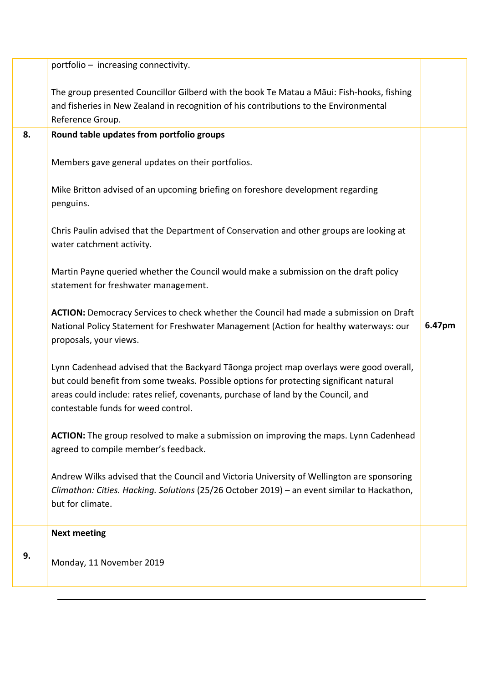|    | portfolio - increasing connectivity.                                                                                                                                                                                                                                                                            |        |
|----|-----------------------------------------------------------------------------------------------------------------------------------------------------------------------------------------------------------------------------------------------------------------------------------------------------------------|--------|
|    | The group presented Councillor Gilberd with the book Te Matau a Māui: Fish-hooks, fishing<br>and fisheries in New Zealand in recognition of his contributions to the Environmental<br>Reference Group.                                                                                                          |        |
| 8. | Round table updates from portfolio groups                                                                                                                                                                                                                                                                       |        |
|    | Members gave general updates on their portfolios.                                                                                                                                                                                                                                                               |        |
|    | Mike Britton advised of an upcoming briefing on foreshore development regarding<br>penguins.                                                                                                                                                                                                                    |        |
|    | Chris Paulin advised that the Department of Conservation and other groups are looking at<br>water catchment activity.                                                                                                                                                                                           |        |
|    | Martin Payne queried whether the Council would make a submission on the draft policy<br>statement for freshwater management.                                                                                                                                                                                    |        |
|    | <b>ACTION:</b> Democracy Services to check whether the Council had made a submission on Draft<br>National Policy Statement for Freshwater Management (Action for healthy waterways: our<br>proposals, your views.                                                                                               | 6.47pm |
|    | Lynn Cadenhead advised that the Backyard Tāonga project map overlays were good overall,<br>but could benefit from some tweaks. Possible options for protecting significant natural<br>areas could include: rates relief, covenants, purchase of land by the Council, and<br>contestable funds for weed control. |        |
|    | ACTION: The group resolved to make a submission on improving the maps. Lynn Cadenhead<br>agreed to compile member's feedback.                                                                                                                                                                                   |        |
|    | Andrew Wilks advised that the Council and Victoria University of Wellington are sponsoring<br>Climathon: Cities. Hacking. Solutions (25/26 October 2019) - an event similar to Hackathon,<br>but for climate.                                                                                                   |        |
|    | <b>Next meeting</b>                                                                                                                                                                                                                                                                                             |        |
| 9. | Monday, 11 November 2019                                                                                                                                                                                                                                                                                        |        |